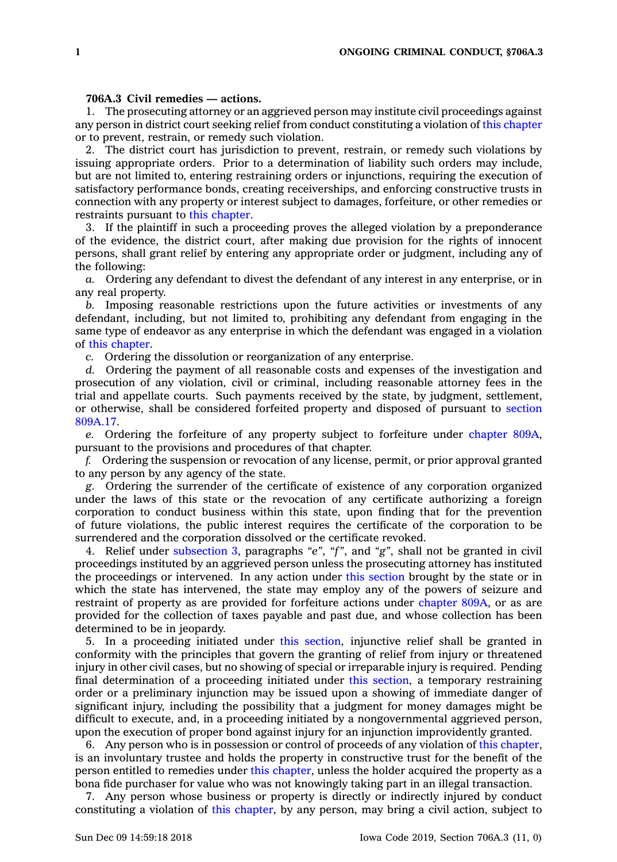## **706A.3 Civil remedies — actions.**

1. The prosecuting attorney or an aggrieved person may institute civil proceedings against any person in district court seeking relief from conduct constituting <sup>a</sup> violation of this [chapter](https://www.legis.iowa.gov/docs/code//706A.pdf) or to prevent, restrain, or remedy such violation.

2. The district court has jurisdiction to prevent, restrain, or remedy such violations by issuing appropriate orders. Prior to <sup>a</sup> determination of liability such orders may include, but are not limited to, entering restraining orders or injunctions, requiring the execution of satisfactory performance bonds, creating receiverships, and enforcing constructive trusts in connection with any property or interest subject to damages, forfeiture, or other remedies or restraints pursuant to this [chapter](https://www.legis.iowa.gov/docs/code//706A.pdf).

3. If the plaintiff in such <sup>a</sup> proceeding proves the alleged violation by <sup>a</sup> preponderance of the evidence, the district court, after making due provision for the rights of innocent persons, shall grant relief by entering any appropriate order or judgment, including any of the following:

*a.* Ordering any defendant to divest the defendant of any interest in any enterprise, or in any real property.

*b.* Imposing reasonable restrictions upon the future activities or investments of any defendant, including, but not limited to, prohibiting any defendant from engaging in the same type of endeavor as any enterprise in which the defendant was engaged in <sup>a</sup> violation of this [chapter](https://www.legis.iowa.gov/docs/code//706A.pdf).

*c.* Ordering the dissolution or reorganization of any enterprise.

*d.* Ordering the payment of all reasonable costs and expenses of the investigation and prosecution of any violation, civil or criminal, including reasonable attorney fees in the trial and appellate courts. Such payments received by the state, by judgment, settlement, or otherwise, shall be considered forfeited property and disposed of pursuant to [section](https://www.legis.iowa.gov/docs/code/809A.17.pdf) [809A.17](https://www.legis.iowa.gov/docs/code/809A.17.pdf).

*e.* Ordering the forfeiture of any property subject to forfeiture under [chapter](https://www.legis.iowa.gov/docs/code//809A.pdf) 809A, pursuant to the provisions and procedures of that chapter.

*f.* Ordering the suspension or revocation of any license, permit, or prior approval granted to any person by any agency of the state.

*g.* Ordering the surrender of the certificate of existence of any corporation organized under the laws of this state or the revocation of any certificate authorizing <sup>a</sup> foreign corporation to conduct business within this state, upon finding that for the prevention of future violations, the public interest requires the certificate of the corporation to be surrendered and the corporation dissolved or the certificate revoked.

4. Relief under [subsection](https://www.legis.iowa.gov/docs/code/706A.3.pdf) 3, paragraphs *"e"*, *"f"*, and *"g"*, shall not be granted in civil proceedings instituted by an aggrieved person unless the prosecuting attorney has instituted the proceedings or intervened. In any action under this [section](https://www.legis.iowa.gov/docs/code/706A.3.pdf) brought by the state or in which the state has intervened, the state may employ any of the powers of seizure and restraint of property as are provided for forfeiture actions under [chapter](https://www.legis.iowa.gov/docs/code//809A.pdf) 809A, or as are provided for the collection of taxes payable and past due, and whose collection has been determined to be in jeopardy.

5. In <sup>a</sup> proceeding initiated under this [section](https://www.legis.iowa.gov/docs/code/706A.3.pdf), injunctive relief shall be granted in conformity with the principles that govern the granting of relief from injury or threatened injury in other civil cases, but no showing of special or irreparable injury is required. Pending final determination of <sup>a</sup> proceeding initiated under this [section](https://www.legis.iowa.gov/docs/code/706A.3.pdf), <sup>a</sup> temporary restraining order or <sup>a</sup> preliminary injunction may be issued upon <sup>a</sup> showing of immediate danger of significant injury, including the possibility that <sup>a</sup> judgment for money damages might be difficult to execute, and, in <sup>a</sup> proceeding initiated by <sup>a</sup> nongovernmental aggrieved person, upon the execution of proper bond against injury for an injunction improvidently granted.

6. Any person who is in possession or control of proceeds of any violation of this [chapter](https://www.legis.iowa.gov/docs/code//706A.pdf), is an involuntary trustee and holds the property in constructive trust for the benefit of the person entitled to remedies under this [chapter](https://www.legis.iowa.gov/docs/code//706A.pdf), unless the holder acquired the property as <sup>a</sup> bona fide purchaser for value who was not knowingly taking part in an illegal transaction.

7. Any person whose business or property is directly or indirectly injured by conduct constituting <sup>a</sup> violation of this [chapter](https://www.legis.iowa.gov/docs/code//706A.pdf), by any person, may bring <sup>a</sup> civil action, subject to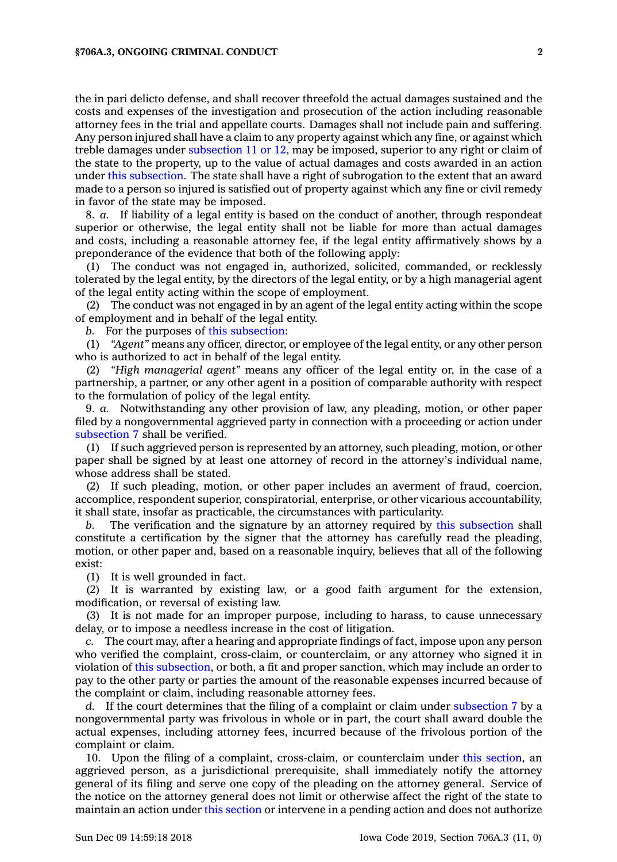the in pari delicto defense, and shall recover threefold the actual damages sustained and the costs and expenses of the investigation and prosecution of the action including reasonable attorney fees in the trial and appellate courts. Damages shall not include pain and suffering. Any person injured shall have <sup>a</sup> claim to any property against which any fine, or against which treble damages under [subsection](https://www.legis.iowa.gov/docs/code/706A.3.pdf) 11 or 12, may be imposed, superior to any right or claim of the state to the property, up to the value of actual damages and costs awarded in an action under this [subsection](https://www.legis.iowa.gov/docs/code/706A.3.pdf). The state shall have <sup>a</sup> right of subrogation to the extent that an award made to <sup>a</sup> person so injured is satisfied out of property against which any fine or civil remedy in favor of the state may be imposed.

8. *a.* If liability of <sup>a</sup> legal entity is based on the conduct of another, through respondeat superior or otherwise, the legal entity shall not be liable for more than actual damages and costs, including <sup>a</sup> reasonable attorney fee, if the legal entity affirmatively shows by <sup>a</sup> preponderance of the evidence that both of the following apply:

(1) The conduct was not engaged in, authorized, solicited, commanded, or recklessly tolerated by the legal entity, by the directors of the legal entity, or by <sup>a</sup> high managerial agent of the legal entity acting within the scope of employment.

(2) The conduct was not engaged in by an agent of the legal entity acting within the scope of employment and in behalf of the legal entity.

*b.* For the purposes of this [subsection](https://www.legis.iowa.gov/docs/code/706A.3.pdf):

(1) *"Agent"* means any officer, director, or employee of the legal entity, or any other person who is authorized to act in behalf of the legal entity.

(2) *"High managerial agent"* means any officer of the legal entity or, in the case of <sup>a</sup> partnership, <sup>a</sup> partner, or any other agent in <sup>a</sup> position of comparable authority with respect to the formulation of policy of the legal entity.

9. *a.* Notwithstanding any other provision of law, any pleading, motion, or other paper filed by <sup>a</sup> nongovernmental aggrieved party in connection with <sup>a</sup> proceeding or action under [subsection](https://www.legis.iowa.gov/docs/code/706A.3.pdf) 7 shall be verified.

(1) If such aggrieved person is represented by an attorney, such pleading, motion, or other paper shall be signed by at least one attorney of record in the attorney's individual name, whose address shall be stated.

(2) If such pleading, motion, or other paper includes an averment of fraud, coercion, accomplice, respondent superior, conspiratorial, enterprise, or other vicarious accountability, it shall state, insofar as practicable, the circumstances with particularity.

The verification and the signature by an attorney required by this [subsection](https://www.legis.iowa.gov/docs/code/706A.3.pdf) shall constitute <sup>a</sup> certification by the signer that the attorney has carefully read the pleading, motion, or other paper and, based on <sup>a</sup> reasonable inquiry, believes that all of the following exist:

(1) It is well grounded in fact.

(2) It is warranted by existing law, or <sup>a</sup> good faith argument for the extension, modification, or reversal of existing law.

(3) It is not made for an improper purpose, including to harass, to cause unnecessary delay, or to impose <sup>a</sup> needless increase in the cost of litigation.

*c.* The court may, after <sup>a</sup> hearing and appropriate findings of fact, impose upon any person who verified the complaint, cross-claim, or counterclaim, or any attorney who signed it in violation of this [subsection](https://www.legis.iowa.gov/docs/code/706A.3.pdf), or both, <sup>a</sup> fit and proper sanction, which may include an order to pay to the other party or parties the amount of the reasonable expenses incurred because of the complaint or claim, including reasonable attorney fees.

*d.* If the court determines that the filing of <sup>a</sup> complaint or claim under [subsection](https://www.legis.iowa.gov/docs/code/706A.3.pdf) 7 by <sup>a</sup> nongovernmental party was frivolous in whole or in part, the court shall award double the actual expenses, including attorney fees, incurred because of the frivolous portion of the complaint or claim.

10. Upon the filing of <sup>a</sup> complaint, cross-claim, or counterclaim under this [section](https://www.legis.iowa.gov/docs/code/706A.3.pdf), an aggrieved person, as <sup>a</sup> jurisdictional prerequisite, shall immediately notify the attorney general of its filing and serve one copy of the pleading on the attorney general. Service of the notice on the attorney general does not limit or otherwise affect the right of the state to maintain an action under this [section](https://www.legis.iowa.gov/docs/code/706A.3.pdf) or intervene in <sup>a</sup> pending action and does not authorize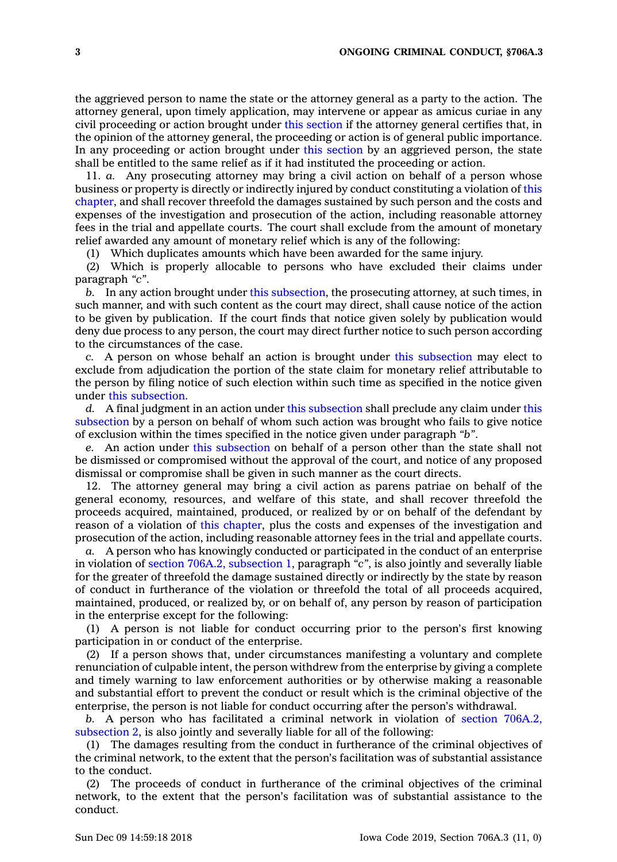the aggrieved person to name the state or the attorney general as <sup>a</sup> party to the action. The attorney general, upon timely application, may intervene or appear as amicus curiae in any civil proceeding or action brought under this [section](https://www.legis.iowa.gov/docs/code/706A.3.pdf) if the attorney general certifies that, in the opinion of the attorney general, the proceeding or action is of general public importance. In any proceeding or action brought under this [section](https://www.legis.iowa.gov/docs/code/706A.3.pdf) by an aggrieved person, the state shall be entitled to the same relief as if it had instituted the proceeding or action.

11. *a.* Any prosecuting attorney may bring <sup>a</sup> civil action on behalf of <sup>a</sup> person whose business or property is directly or indirectly injured by conduct constituting <sup>a</sup> violation of [this](https://www.legis.iowa.gov/docs/code//706A.pdf) [chapter](https://www.legis.iowa.gov/docs/code//706A.pdf), and shall recover threefold the damages sustained by such person and the costs and expenses of the investigation and prosecution of the action, including reasonable attorney fees in the trial and appellate courts. The court shall exclude from the amount of monetary relief awarded any amount of monetary relief which is any of the following:

(1) Which duplicates amounts which have been awarded for the same injury.

(2) Which is properly allocable to persons who have excluded their claims under paragraph *"c"*.

*b.* In any action brought under this [subsection](https://www.legis.iowa.gov/docs/code/706A.3.pdf), the prosecuting attorney, at such times, in such manner, and with such content as the court may direct, shall cause notice of the action to be given by publication. If the court finds that notice given solely by publication would deny due process to any person, the court may direct further notice to such person according to the circumstances of the case.

*c.* A person on whose behalf an action is brought under this [subsection](https://www.legis.iowa.gov/docs/code/706A.3.pdf) may elect to exclude from adjudication the portion of the state claim for monetary relief attributable to the person by filing notice of such election within such time as specified in the notice given under this [subsection](https://www.legis.iowa.gov/docs/code/706A.3.pdf).

*d.* A final judgment in an action under this [subsection](https://www.legis.iowa.gov/docs/code/706A.3.pdf) shall preclude any claim under [this](https://www.legis.iowa.gov/docs/code/706A.3.pdf) [subsection](https://www.legis.iowa.gov/docs/code/706A.3.pdf) by <sup>a</sup> person on behalf of whom such action was brought who fails to give notice of exclusion within the times specified in the notice given under paragraph *"b"*.

*e.* An action under this [subsection](https://www.legis.iowa.gov/docs/code/706A.3.pdf) on behalf of <sup>a</sup> person other than the state shall not be dismissed or compromised without the approval of the court, and notice of any proposed dismissal or compromise shall be given in such manner as the court directs.

12. The attorney general may bring <sup>a</sup> civil action as parens patriae on behalf of the general economy, resources, and welfare of this state, and shall recover threefold the proceeds acquired, maintained, produced, or realized by or on behalf of the defendant by reason of <sup>a</sup> violation of this [chapter](https://www.legis.iowa.gov/docs/code//706A.pdf), plus the costs and expenses of the investigation and prosecution of the action, including reasonable attorney fees in the trial and appellate courts.

*a.* A person who has knowingly conducted or participated in the conduct of an enterprise in violation of section 706A.2, [subsection](https://www.legis.iowa.gov/docs/code/706A.2.pdf) 1, paragraph *"c"*, is also jointly and severally liable for the greater of threefold the damage sustained directly or indirectly by the state by reason of conduct in furtherance of the violation or threefold the total of all proceeds acquired, maintained, produced, or realized by, or on behalf of, any person by reason of participation in the enterprise except for the following:

(1) A person is not liable for conduct occurring prior to the person's first knowing participation in or conduct of the enterprise.

(2) If <sup>a</sup> person shows that, under circumstances manifesting <sup>a</sup> voluntary and complete renunciation of culpable intent, the person withdrew from the enterprise by giving <sup>a</sup> complete and timely warning to law enforcement authorities or by otherwise making <sup>a</sup> reasonable and substantial effort to prevent the conduct or result which is the criminal objective of the enterprise, the person is not liable for conduct occurring after the person's withdrawal.

*b.* A person who has facilitated <sup>a</sup> criminal network in violation of section [706A.2,](https://www.legis.iowa.gov/docs/code/706A.2.pdf) [subsection](https://www.legis.iowa.gov/docs/code/706A.2.pdf) 2, is also jointly and severally liable for all of the following:

(1) The damages resulting from the conduct in furtherance of the criminal objectives of the criminal network, to the extent that the person's facilitation was of substantial assistance to the conduct.

(2) The proceeds of conduct in furtherance of the criminal objectives of the criminal network, to the extent that the person's facilitation was of substantial assistance to the conduct.